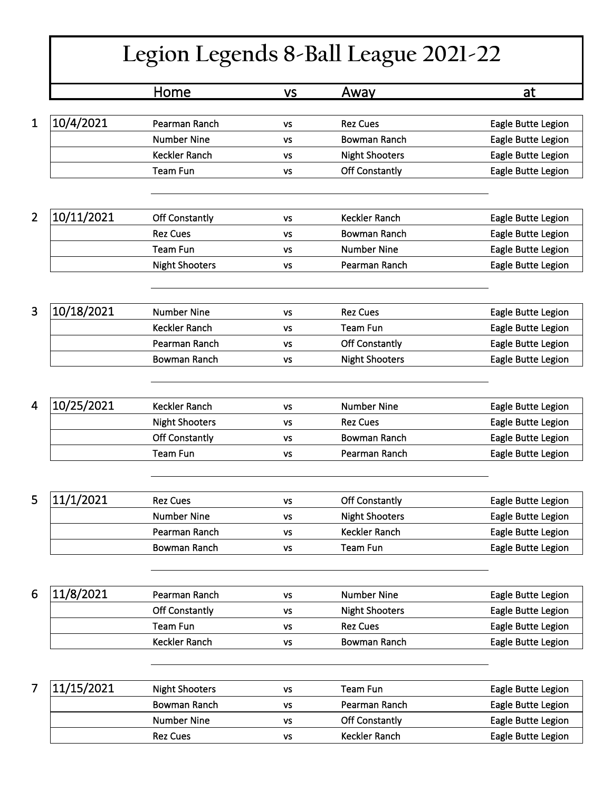## **Legion Legends 8-Ball League 2021-22**

|                              | <u>Home</u>           | <b>VS</b> | Away                  | at                 |
|------------------------------|-----------------------|-----------|-----------------------|--------------------|
|                              |                       |           |                       |                    |
| 10/4/2021<br>1               | Pearman Ranch         | VS        | <b>Rez Cues</b>       | Eagle Butte Legion |
|                              | <b>Number Nine</b>    | VS        | <b>Bowman Ranch</b>   | Eagle Butte Legion |
|                              | <b>Keckler Ranch</b>  | VS        | <b>Night Shooters</b> | Eagle Butte Legion |
|                              | Team Fun              | VS        | Off Constantly        | Eagle Butte Legion |
|                              |                       |           |                       |                    |
| 10/11/2021<br>$\overline{2}$ | <b>Off Constantly</b> | <b>VS</b> | <b>Keckler Ranch</b>  | Eagle Butte Legion |
|                              | <b>Rez Cues</b>       | VS        | Bowman Ranch          | Eagle Butte Legion |
|                              | <b>Team Fun</b>       | VS        | <b>Number Nine</b>    | Eagle Butte Legion |
|                              | <b>Night Shooters</b> | <b>VS</b> | Pearman Ranch         | Eagle Butte Legion |
|                              |                       |           |                       |                    |
| 10/18/2021<br>3              | <b>Number Nine</b>    | <b>VS</b> | <b>Rez Cues</b>       | Eagle Butte Legion |
|                              | Keckler Ranch         | VS        | <b>Team Fun</b>       | Eagle Butte Legion |
|                              | Pearman Ranch         | VS        | Off Constantly        | Eagle Butte Legion |
|                              | Bowman Ranch          | <b>VS</b> | <b>Night Shooters</b> | Eagle Butte Legion |
|                              |                       |           |                       |                    |
| 10/25/2021<br>4              | Keckler Ranch         | VS        | <b>Number Nine</b>    | Eagle Butte Legion |
|                              | <b>Night Shooters</b> | VS        | <b>Rez Cues</b>       | Eagle Butte Legion |
|                              | Off Constantly        | VS        | <b>Bowman Ranch</b>   | Eagle Butte Legion |
|                              | <b>Team Fun</b>       | VS        | Pearman Ranch         | Eagle Butte Legion |
|                              |                       |           |                       |                    |
| 5<br>11/1/2021               | <b>Rez Cues</b>       | <b>VS</b> | <b>Off Constantly</b> | Eagle Butte Legion |
|                              | <b>Number Nine</b>    | <b>VS</b> | <b>Night Shooters</b> | Eagle Butte Legion |
|                              | Pearman Ranch         | ٧S        | Keckler Ranch         | Eagle Butte Legion |
|                              | Bowman Ranch          | VS        | Team Fun              | Eagle Butte Legion |
|                              |                       |           |                       |                    |
| 11/8/2021<br>6               | Pearman Ranch         | <b>VS</b> | <b>Number Nine</b>    | Eagle Butte Legion |
|                              | <b>Off Constantly</b> | VS        | <b>Night Shooters</b> | Eagle Butte Legion |
|                              | <b>Team Fun</b>       | VS        | <b>Rez Cues</b>       | Eagle Butte Legion |
|                              | Keckler Ranch         | VS        | <b>Bowman Ranch</b>   | Eagle Butte Legion |
|                              |                       |           |                       |                    |
| 7<br>11/15/2021              | <b>Night Shooters</b> | VS        | <b>Team Fun</b>       | Eagle Butte Legion |
|                              | <b>Bowman Ranch</b>   | VS        | Pearman Ranch         | Eagle Butte Legion |
|                              | <b>Number Nine</b>    | <b>VS</b> | <b>Off Constantly</b> | Eagle Butte Legion |
|                              | <b>Rez Cues</b>       | VS        | Keckler Ranch         | Eagle Butte Legion |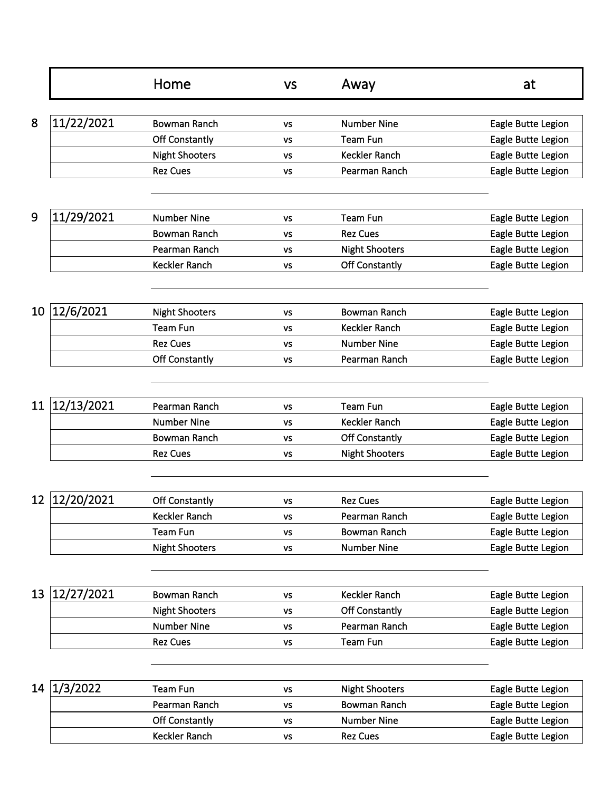|    |            | Home                  | <b>VS</b> | Away                  | at                 |
|----|------------|-----------------------|-----------|-----------------------|--------------------|
| 8  |            |                       |           |                       |                    |
|    | 11/22/2021 | <b>Bowman Ranch</b>   | VS        | <b>Number Nine</b>    | Eagle Butte Legion |
|    |            | Off Constantly        | VS        | <b>Team Fun</b>       | Eagle Butte Legion |
|    |            | <b>Night Shooters</b> | VS        | Keckler Ranch         | Eagle Butte Legion |
|    |            | <b>Rez Cues</b>       | VS        | Pearman Ranch         | Eagle Butte Legion |
| 9  | 11/29/2021 | <b>Number Nine</b>    |           | <b>Team Fun</b>       | Eagle Butte Legion |
|    |            | <b>Bowman Ranch</b>   | VS        | <b>Rez Cues</b>       |                    |
|    |            | Pearman Ranch         | VS        |                       | Eagle Butte Legion |
|    |            |                       | VS        | <b>Night Shooters</b> | Eagle Butte Legion |
|    |            | Keckler Ranch         | VS        | Off Constantly        | Eagle Butte Legion |
| 10 | 12/6/2021  | <b>Night Shooters</b> | <b>VS</b> | <b>Bowman Ranch</b>   | Eagle Butte Legion |
|    |            | <b>Team Fun</b>       | <b>VS</b> | <b>Keckler Ranch</b>  | Eagle Butte Legion |
|    |            | <b>Rez Cues</b>       | VS        | <b>Number Nine</b>    | Eagle Butte Legion |
|    |            | Off Constantly        | <b>VS</b> | Pearman Ranch         | Eagle Butte Legion |
|    |            |                       |           |                       |                    |
| 11 | 12/13/2021 | Pearman Ranch         | <b>VS</b> | <b>Team Fun</b>       | Eagle Butte Legion |
|    |            | <b>Number Nine</b>    | VS        | Keckler Ranch         | Eagle Butte Legion |
|    |            | <b>Bowman Ranch</b>   | VS        | Off Constantly        | Eagle Butte Legion |
|    |            | <b>Rez Cues</b>       | VS        | <b>Night Shooters</b> | Eagle Butte Legion |
|    |            |                       |           |                       |                    |
| 12 | 12/20/2021 | <b>Off Constantly</b> | VS        | <b>Rez Cues</b>       | Eagle Butte Legion |
|    |            | Keckler Ranch         | ٧S        | Pearman Ranch         | Eagle Butte Legion |
|    |            | <b>Team Fun</b>       | <b>VS</b> | <b>Bowman Ranch</b>   | Eagle Butte Legion |
|    |            | <b>Night Shooters</b> | <b>VS</b> | <b>Number Nine</b>    | Eagle Butte Legion |
| 13 | 12/27/2021 | <b>Bowman Ranch</b>   | <b>VS</b> | Keckler Ranch         | Eagle Butte Legion |
|    |            | <b>Night Shooters</b> | <b>VS</b> | Off Constantly        | Eagle Butte Legion |
|    |            | <b>Number Nine</b>    | ٧S        | Pearman Ranch         | Eagle Butte Legion |
|    |            | <b>Rez Cues</b>       | ٧S        | Team Fun              | Eagle Butte Legion |
|    |            |                       |           |                       |                    |
| 14 | 1/3/2022   | <b>Team Fun</b>       | <b>VS</b> | <b>Night Shooters</b> | Eagle Butte Legion |
|    |            | Pearman Ranch         | VS        | Bowman Ranch          | Eagle Butte Legion |
|    |            | Off Constantly        | <b>VS</b> | <b>Number Nine</b>    | Eagle Butte Legion |
|    |            | Keckler Ranch         | VS        | <b>Rez Cues</b>       | Eagle Butte Legion |